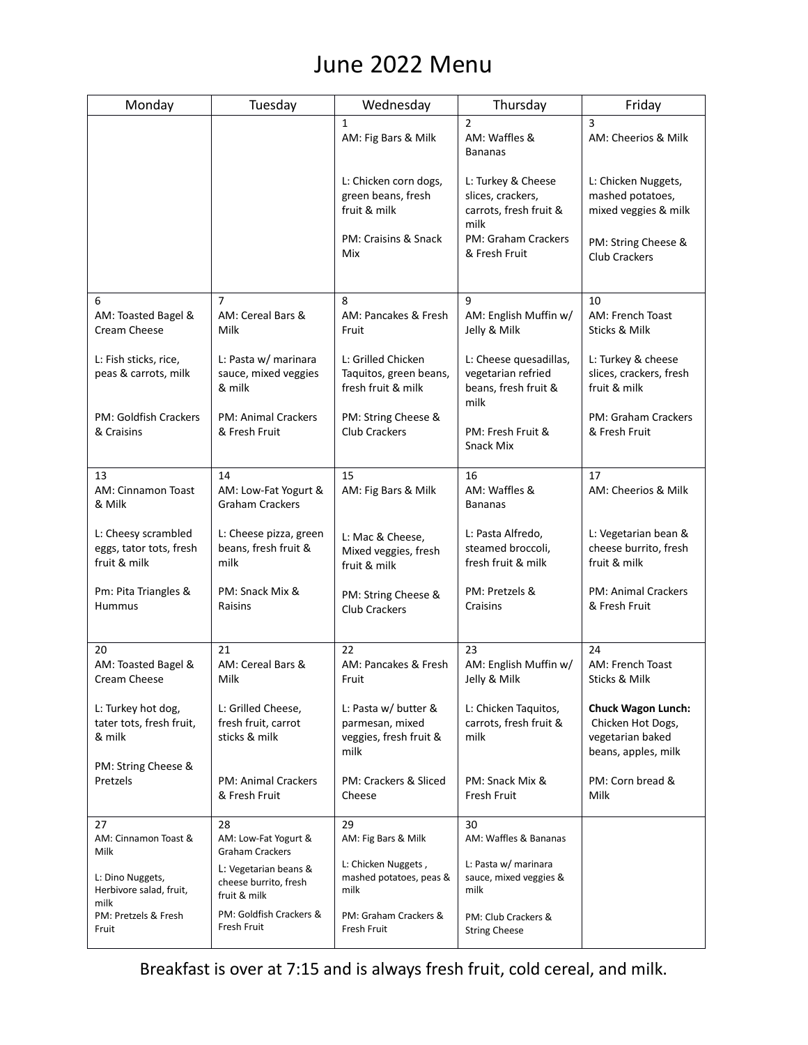## June 2022 Menu

| Monday                                                         | Tuesday                                                        | Wednesday                                                                 | Thursday                                                                     | Friday                                                                                    |
|----------------------------------------------------------------|----------------------------------------------------------------|---------------------------------------------------------------------------|------------------------------------------------------------------------------|-------------------------------------------------------------------------------------------|
|                                                                |                                                                | $\mathbf{1}$<br>AM: Fig Bars & Milk                                       | $\overline{2}$<br>AM: Waffles &<br><b>Bananas</b>                            | 3<br>AM: Cheerios & Milk                                                                  |
|                                                                |                                                                | L: Chicken corn dogs,<br>green beans, fresh<br>fruit & milk               | L: Turkey & Cheese<br>slices, crackers,<br>carrots, fresh fruit &<br>milk    | L: Chicken Nuggets,<br>mashed potatoes,<br>mixed veggies & milk                           |
|                                                                |                                                                | PM: Craisins & Snack<br>Mix                                               | PM: Graham Crackers<br>& Fresh Fruit                                         | PM: String Cheese &<br><b>Club Crackers</b>                                               |
| 6                                                              | $\overline{7}$                                                 | 8                                                                         | 9                                                                            | 10                                                                                        |
| AM: Toasted Bagel &<br>Cream Cheese                            | AM: Cereal Bars &<br>Milk                                      | AM: Pancakes & Fresh<br>Fruit                                             | AM: English Muffin w/<br>Jelly & Milk                                        | AM: French Toast<br>Sticks & Milk                                                         |
| L: Fish sticks, rice,<br>peas & carrots, milk                  | L: Pasta w/ marinara<br>sauce, mixed veggies<br>& milk         | L: Grilled Chicken<br>Taquitos, green beans,<br>fresh fruit & milk        | L: Cheese quesadillas,<br>vegetarian refried<br>beans, fresh fruit &<br>milk | L: Turkey & cheese<br>slices, crackers, fresh<br>fruit & milk                             |
| PM: Goldfish Crackers<br>& Craisins                            | <b>PM: Animal Crackers</b><br>& Fresh Fruit                    | PM: String Cheese &<br><b>Club Crackers</b>                               | PM: Fresh Fruit &<br>Snack Mix                                               | PM: Graham Crackers<br>& Fresh Fruit                                                      |
| 13                                                             | 14                                                             | 15                                                                        | 16                                                                           | 17                                                                                        |
| AM: Cinnamon Toast<br>& Milk                                   | AM: Low-Fat Yogurt &<br><b>Graham Crackers</b>                 | AM: Fig Bars & Milk                                                       | AM: Waffles &<br><b>Bananas</b>                                              | AM: Cheerios & Milk                                                                       |
| L: Cheesy scrambled<br>eggs, tator tots, fresh<br>fruit & milk | L: Cheese pizza, green<br>beans, fresh fruit &<br>milk         | L: Mac & Cheese,<br>Mixed veggies, fresh<br>fruit & milk                  | L: Pasta Alfredo,<br>steamed broccoli,<br>fresh fruit & milk                 | L: Vegetarian bean &<br>cheese burrito, fresh<br>fruit & milk                             |
| Pm: Pita Triangles &<br><b>Hummus</b>                          | PM: Snack Mix &<br>Raisins                                     | PM: String Cheese &<br><b>Club Crackers</b>                               | PM: Pretzels &<br>Craisins                                                   | <b>PM: Animal Crackers</b><br>& Fresh Fruit                                               |
| 20                                                             | 21                                                             | 22                                                                        | 23                                                                           | 24                                                                                        |
| AM: Toasted Bagel &<br>Cream Cheese                            | AM: Cereal Bars &<br>Milk                                      | AM: Pancakes & Fresh<br>Fruit                                             | AM: English Muffin w/<br>Jelly & Milk                                        | AM: French Toast<br>Sticks & Milk                                                         |
| L: Turkey hot dog,<br>tater tots, fresh fruit,<br>& milk       | L: Grilled Cheese,<br>fresh fruit, carrot<br>sticks & milk     | L: Pasta w/ butter &<br>parmesan, mixed<br>veggies, fresh fruit &<br>milk | L: Chicken Taquitos,<br>carrots. fresh fruit &<br>milk                       | <b>Chuck Wagon Lunch:</b><br>Chicken Hot Dogs,<br>vegetarian baked<br>beans, apples, milk |
| PM: String Cheese &<br>Pretzels                                | <b>PM: Animal Crackers</b><br>& Fresh Fruit                    | PM: Crackers & Sliced<br>Cheese                                           | PM: Snack Mix &<br>Fresh Fruit                                               | PM: Corn bread &<br>Milk                                                                  |
| 27                                                             | 28                                                             | 29                                                                        | 30                                                                           |                                                                                           |
| AM: Cinnamon Toast &<br>Milk                                   | AM: Low-Fat Yogurt &<br><b>Graham Crackers</b>                 | AM: Fig Bars & Milk                                                       | AM: Waffles & Bananas                                                        |                                                                                           |
| L: Dino Nuggets,<br>Herbivore salad, fruit,<br>milk            | L: Vegetarian beans &<br>cheese burrito, fresh<br>fruit & milk | L: Chicken Nuggets,<br>mashed potatoes, peas &<br>milk                    | L: Pasta w/ marinara<br>sauce, mixed veggies &<br>milk                       |                                                                                           |
| PM: Pretzels & Fresh<br>Fruit                                  | PM: Goldfish Crackers &<br>Fresh Fruit                         | PM: Graham Crackers &<br>Fresh Fruit                                      | PM: Club Crackers &<br><b>String Cheese</b>                                  |                                                                                           |

Breakfast is over at 7:15 and is always fresh fruit, cold cereal, and milk.